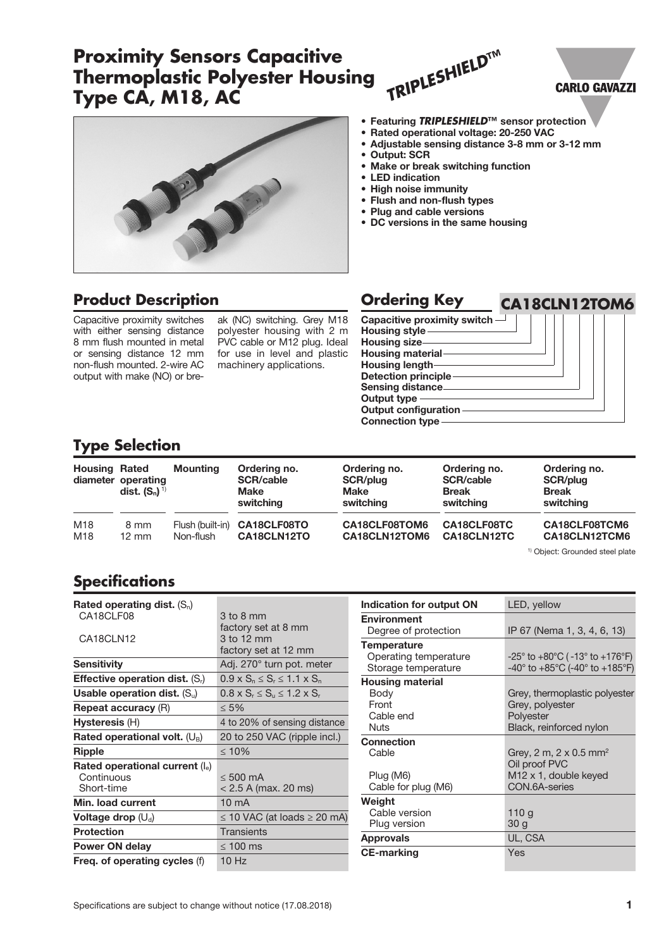#### Specifications are subject to change without notice (17.08.2018) **1 1**

## **Proximity Sensors Capacitive Thermoplastic Polyester Housing Type CA, M18, AC** *TRIPLESHIELD***™**

FIST OF

# **Product Description**

Capacitive proximity switches with either sensing distance 8 mm flush mounted in metal or sensing distance 12 mm non-flush mounted. 2-wire AC output with make (NO) or bre-

ak (NC) switching. Grey M18 polyester housing with 2 m PVC cable or M12 plug. Ideal for use in level and plastic machinery applications.

Capacitive proximity switch  $\overline{\phantom{a}}$ Housing style Housing size-Housing material Housing length Detection principle Sensing distance Output type Output configuration Connection type

## **Type Selection**

| <b>Housing Rated</b> | diameter operating<br><b>dist.</b> $(S_n)^{1}$ | <b>Mounting</b>  | Ordering no.<br><b>SCR/cable</b><br><b>Make</b><br>switching | Ordering no.<br>SCR/plug<br>Make<br>switching | Ordering no.<br><b>SCR/cable</b><br><b>Break</b><br>switching | Ordering no.<br>SCR/plug<br><b>Break</b><br>switching |
|----------------------|------------------------------------------------|------------------|--------------------------------------------------------------|-----------------------------------------------|---------------------------------------------------------------|-------------------------------------------------------|
| M18                  | 8 mm                                           | Flush (built-in) | CA18CLF08TO                                                  | CA18CLF08TOM6                                 | CA18CLF08TC                                                   | CA18CLF08TCM6                                         |
| M18                  | $12 \text{ mm}$                                | Non-flush        | CA18CLN12TO                                                  | CA18CLN12TOM6                                 | CA18CLN12TC                                                   | CA18CLN12TCM6                                         |

#### 1) Object: Grounded steel plate

**CARLO GAVAZZI** 

## **Specifications**

| Rated operating dist. $(S_n)$            |                                             |  |  |
|------------------------------------------|---------------------------------------------|--|--|
| CA18CLF08                                | 3 to 8 mm                                   |  |  |
|                                          | factory set at 8 mm                         |  |  |
| CA18CLN12                                | 3 to 12 mm                                  |  |  |
|                                          | factory set at 12 mm                        |  |  |
| <b>Sensitivity</b>                       | Adj. 270° turn pot. meter                   |  |  |
| <b>Effective operation dist.</b> $(S_i)$ | $0.9 \times S_n \le S_r \le 1.1 \times S_n$ |  |  |
| Usable operation dist. $(S_u)$           | $0.8 \times S_r \le S_u \le 1.2 \times S_r$ |  |  |
| <b>Repeat accuracy (R)</b>               | $\leq 5\%$                                  |  |  |
| <b>Hysteresis (H)</b>                    | 4 to 20% of sensing distance                |  |  |
| Rated operational volt. $(U_B)$          | 20 to 250 VAC (ripple incl.)                |  |  |
| <b>Ripple</b>                            | $\leq 10\%$                                 |  |  |
| Rated operational current (le)           |                                             |  |  |
| Continuous                               | $< 500 \text{ mA}$                          |  |  |
| Short-time                               | $< 2.5$ A (max. 20 ms)                      |  |  |
| Min. load current                        | $10 \text{ mA}$                             |  |  |
| Voltage drop $(U_d)$                     | $\leq$ 10 VAC (at loads $\geq$ 20 mA)       |  |  |
| <b>Protection</b>                        | Transients                                  |  |  |
| Power ON delay                           | $\leq 100$ ms                               |  |  |
| Freq. of operating cycles (f)            | 10Hz                                        |  |  |

| Indication for output ON | LED, yellow                                                           |  |  |
|--------------------------|-----------------------------------------------------------------------|--|--|
| <b>Environment</b>       |                                                                       |  |  |
| Degree of protection     | IP 67 (Nema 1, 3, 4, 6, 13)                                           |  |  |
| <b>Temperature</b>       |                                                                       |  |  |
| Operating temperature    | $-25^{\circ}$ to $+80^{\circ}$ C ( $-13^{\circ}$ to $+176^{\circ}$ F) |  |  |
| Storage temperature      | $-40^{\circ}$ to $+85^{\circ}$ C (-40° to $+185^{\circ}$ F)           |  |  |
| <b>Housing material</b>  |                                                                       |  |  |
| Body                     | Grey, thermoplastic polyester                                         |  |  |
| Front                    | Grey, polyester                                                       |  |  |
| Cable end                | Polyester                                                             |  |  |
| <b>Nuts</b>              | Black, reinforced nylon                                               |  |  |
| <b>Connection</b>        |                                                                       |  |  |
| Cable                    | Grey, 2 m, 2 x 0.5 mm <sup>2</sup>                                    |  |  |
|                          | Oil proof PVC                                                         |  |  |
| Plug (M6)                | M <sub>12</sub> x 1, double keyed                                     |  |  |
| Cable for plug (M6)      | CON.6A-series                                                         |  |  |
| Weight                   |                                                                       |  |  |
| Cable version            | 110g                                                                  |  |  |
| Plug version             | 30 <sub>g</sub>                                                       |  |  |
| <b>Approvals</b>         | UL, CSA                                                               |  |  |
| <b>CE-marking</b>        | Yes                                                                   |  |  |
|                          |                                                                       |  |  |



- Rated operational voltage: 20-250 VAC
	- Adjustable sensing distance 3-8 mm or 3-12 mm
	- Output: SCR
	- Make or break switching function
	- LED indication
	- High noise immunity
	- Flush and non-flush types
	- Plug and cable versions
	-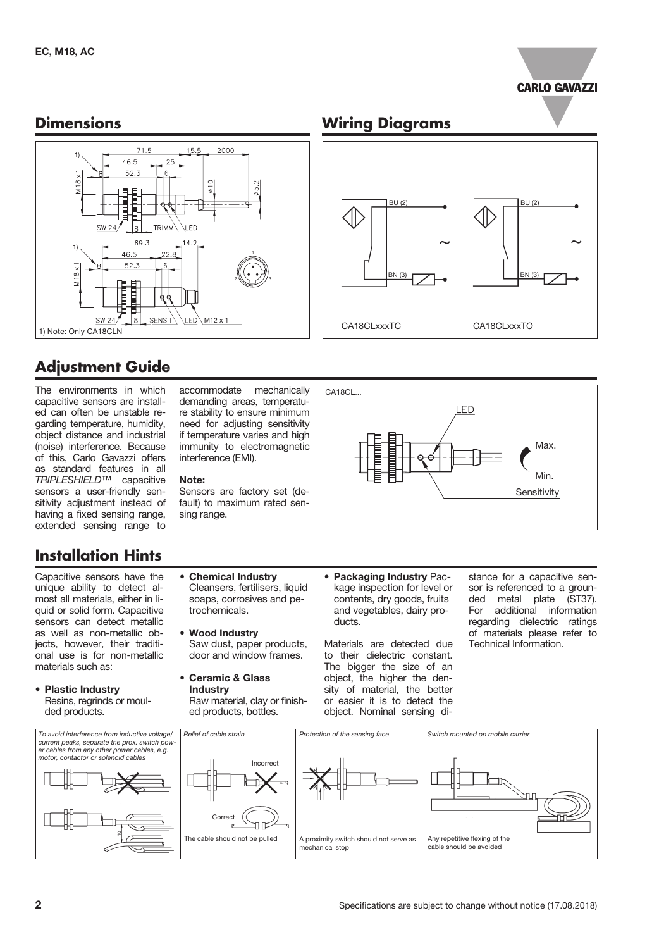

### **Dimensions**



# **Adjustment Guide**

The environments in which capacitive sensors are installed can often be unstable regarding temperature, humidity, object distance and industrial (noise) interference. Because of this, Carlo Gavazzi offers as standard features in all *TRIPLESHIELD*™ capacitive sensors a user-friendly sensitivity adjustment instead of having a fixed sensing range, extended sensing range to

## **Installation Hints**

Capacitive sensors have the unique ability to detect almost all materials, either in liquid or solid form. Capacitive sensors can detect metallic as well as non-metallic objects, however, their traditional use is for non-metallic materials such as:

• Plastic Industry Resins, regrinds or moulded products.

accommodate mechanically demanding areas, temperature stability to ensure minimum need for adjusting sensitivity if temperature varies and high immunity to electromagnetic interference (EMI).

#### Note:

Sensors are factory set (default) to maximum rated sensing range.

Cleansers, fertilisers, liquid soaps, corrosives and pe-

Saw dust, paper products, door and window frames.

Raw material, clay or finished products, bottles.

• Chemical Industry

trochemicals.

**Wood Industry** 

• Ceramic & Glass Industry



• Packaging Industry Package inspection for level or contents, dry goods, fruits and vegetables, dairy products.

Materials are detected due to their dielectric constant. The bigger the size of an object, the higher the density of material, the better or easier it is to detect the object. Nominal sensing distance for a capacitive sensor is referenced to a grounded metal plate (ST37). For additional information regarding dielectric ratings of materials please refer to Technical Information.



## **Wiring Diagrams**